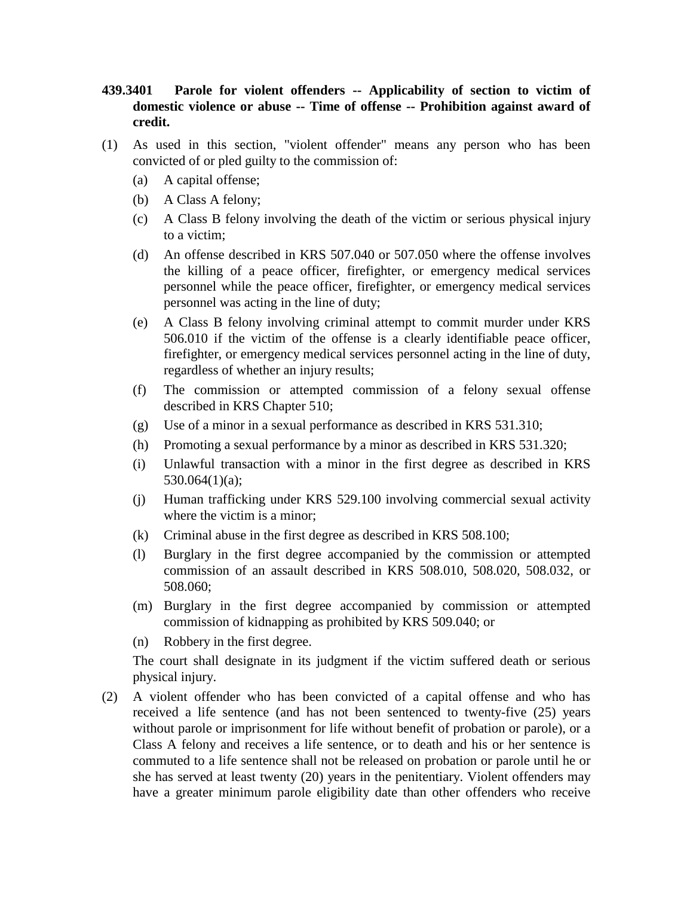- **439.3401 Parole for violent offenders -- Applicability of section to victim of domestic violence or abuse -- Time of offense -- Prohibition against award of credit.**
- (1) As used in this section, "violent offender" means any person who has been convicted of or pled guilty to the commission of:
	- (a) A capital offense;
	- (b) A Class A felony;
	- (c) A Class B felony involving the death of the victim or serious physical injury to a victim;
	- (d) An offense described in KRS 507.040 or 507.050 where the offense involves the killing of a peace officer, firefighter, or emergency medical services personnel while the peace officer, firefighter, or emergency medical services personnel was acting in the line of duty;
	- (e) A Class B felony involving criminal attempt to commit murder under KRS 506.010 if the victim of the offense is a clearly identifiable peace officer, firefighter, or emergency medical services personnel acting in the line of duty, regardless of whether an injury results;
	- (f) The commission or attempted commission of a felony sexual offense described in KRS Chapter 510;
	- (g) Use of a minor in a sexual performance as described in KRS 531.310;
	- (h) Promoting a sexual performance by a minor as described in KRS 531.320;
	- (i) Unlawful transaction with a minor in the first degree as described in KRS 530.064(1)(a);
	- (j) Human trafficking under KRS 529.100 involving commercial sexual activity where the victim is a minor;
	- (k) Criminal abuse in the first degree as described in KRS 508.100;
	- (l) Burglary in the first degree accompanied by the commission or attempted commission of an assault described in KRS 508.010, 508.020, 508.032, or 508.060;
	- (m) Burglary in the first degree accompanied by commission or attempted commission of kidnapping as prohibited by KRS 509.040; or
	- (n) Robbery in the first degree.

The court shall designate in its judgment if the victim suffered death or serious physical injury.

(2) A violent offender who has been convicted of a capital offense and who has received a life sentence (and has not been sentenced to twenty-five (25) years without parole or imprisonment for life without benefit of probation or parole), or a Class A felony and receives a life sentence, or to death and his or her sentence is commuted to a life sentence shall not be released on probation or parole until he or she has served at least twenty (20) years in the penitentiary. Violent offenders may have a greater minimum parole eligibility date than other offenders who receive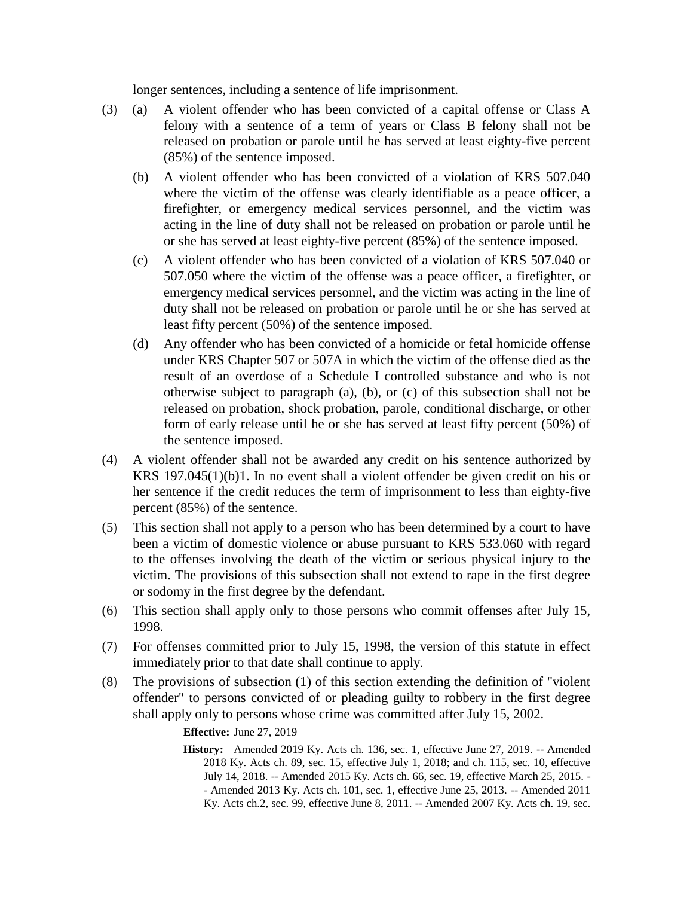longer sentences, including a sentence of life imprisonment.

- (3) (a) A violent offender who has been convicted of a capital offense or Class A felony with a sentence of a term of years or Class B felony shall not be released on probation or parole until he has served at least eighty-five percent (85%) of the sentence imposed.
	- (b) A violent offender who has been convicted of a violation of KRS 507.040 where the victim of the offense was clearly identifiable as a peace officer, a firefighter, or emergency medical services personnel, and the victim was acting in the line of duty shall not be released on probation or parole until he or she has served at least eighty-five percent (85%) of the sentence imposed.
	- (c) A violent offender who has been convicted of a violation of KRS 507.040 or 507.050 where the victim of the offense was a peace officer, a firefighter, or emergency medical services personnel, and the victim was acting in the line of duty shall not be released on probation or parole until he or she has served at least fifty percent (50%) of the sentence imposed.
	- (d) Any offender who has been convicted of a homicide or fetal homicide offense under KRS Chapter 507 or 507A in which the victim of the offense died as the result of an overdose of a Schedule I controlled substance and who is not otherwise subject to paragraph (a), (b), or (c) of this subsection shall not be released on probation, shock probation, parole, conditional discharge, or other form of early release until he or she has served at least fifty percent (50%) of the sentence imposed.
- (4) A violent offender shall not be awarded any credit on his sentence authorized by KRS 197.045(1)(b)1. In no event shall a violent offender be given credit on his or her sentence if the credit reduces the term of imprisonment to less than eighty-five percent (85%) of the sentence.
- (5) This section shall not apply to a person who has been determined by a court to have been a victim of domestic violence or abuse pursuant to KRS 533.060 with regard to the offenses involving the death of the victim or serious physical injury to the victim. The provisions of this subsection shall not extend to rape in the first degree or sodomy in the first degree by the defendant.
- (6) This section shall apply only to those persons who commit offenses after July 15, 1998.
- (7) For offenses committed prior to July 15, 1998, the version of this statute in effect immediately prior to that date shall continue to apply.
- (8) The provisions of subsection (1) of this section extending the definition of "violent offender" to persons convicted of or pleading guilty to robbery in the first degree shall apply only to persons whose crime was committed after July 15, 2002.

**Effective:** June 27, 2019

**History:** Amended 2019 Ky. Acts ch. 136, sec. 1, effective June 27, 2019. -- Amended 2018 Ky. Acts ch. 89, sec. 15, effective July 1, 2018; and ch. 115, sec. 10, effective July 14, 2018. -- Amended 2015 Ky. Acts ch. 66, sec. 19, effective March 25, 2015. - - Amended 2013 Ky. Acts ch. 101, sec. 1, effective June 25, 2013. -- Amended 2011 Ky. Acts ch.2, sec. 99, effective June 8, 2011. -- Amended 2007 Ky. Acts ch. 19, sec.